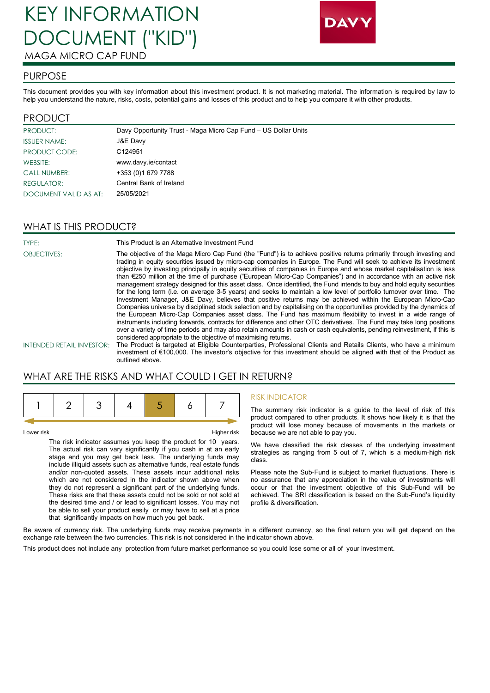# KEY INFORMATION DOCUMENT ("KID") MAGA MICRO CAP FUND



#### PURPOSE

This document provides you with key information about this investment product. It is not marketing material. The information is required by law to help you understand the nature, risks, costs, potential gains and losses of this product and to help you compare it with other products.

#### PRODUCT

| <b>PRODUCT:</b>       | Davy Opportunity Trust - Maga Micro Cap Fund - US Dollar Units |
|-----------------------|----------------------------------------------------------------|
| <b>ISSUER NAME:</b>   | J&E Davy                                                       |
| <b>PRODUCT CODE:</b>  | C124951                                                        |
| WEBSITE:              | www.davy.ie/contact                                            |
| <b>CALL NUMBER:</b>   | +353 (0) 1679 7788                                             |
| REGULATOR:            | Central Bank of Ireland                                        |
| DOCUMENT VALID AS AT: | 25/05/2021                                                     |

### WHAT IS THIS PRODUCT?

TYPE: This Product is an Alternative Investment Fund OBJECTIVES: The objective of the Maga Micro Cap Fund (the "Fund") is to achieve positive returns primarily through investing and trading in equity securities issued by micro-cap companies in Europe. The Fund will seek to achieve its investment objective by investing principally in equity securities of companies in Europe and whose market capitalisation is less than €250 million at the time of purchase ("European Micro-Cap Companies") and in accordance with an active risk management strategy designed for this asset class. Once identified, the Fund intends to buy and hold equity securities for the long term (i.e. on average 3-5 years) and seeks to maintain a low level of portfolio turnover over time. The Investment Manager, J&E Davy, believes that positive returns may be achieved within the European Micro-Cap Companies universe by disciplined stock selection and by capitalising on the opportunities provided by the dynamics of the European Micro-Cap Companies asset class. The Fund has maximum flexibility to invest in a wide range of instruments including forwards, contracts for difference and other OTC derivatives. The Fund may take long positions over a variety of time periods and may also retain amounts in cash or cash equivalents, pending reinvestment, if this is considered appropriate to the objective of maximising returns. INTENDED RETAIL INVESTOR: The Product is targeted at Eligible Counterparties, Professional Clients and Retails Clients, who have a minimum investment of €100,000. The investor's objective for this investment should be aligned with that of the Product as

## WHAT ARE THE RISKS AND WHAT COULD I GET IN RETURN?

outlined above.

Lower risk Higher risk

The risk indicator assumes you keep the product for 10 years. The actual risk can vary significantly if you cash in at an early stage and you may get back less. The underlying funds may include illiquid assets such as alternative funds, real estate funds and/or non-quoted assets. These assets incur additional risks which are not considered in the indicator shown above when they do not represent a significant part of the underlying funds. These risks are that these assets could not be sold or not sold at the desired time and / or lead to significant losses. You may not be able to sell your product easily or may have to sell at a price that significantly impacts on how much you get back.

#### RISK INDICATOR

The summary risk indicator is a guide to the level of risk of this product compared to other products. It shows how likely it is that the product will lose money because of movements in the markets or because we are not able to pay you.

We have classified the risk classes of the underlying investment strategies as ranging from 5 out of 7, which is a medium-high risk class.

Please note the Sub-Fund is subject to market fluctuations. There is no assurance that any appreciation in the value of investments will occur or that the investment objective of this Sub-Fund will be achieved. The SRI classification is based on the Sub-Fund's liquidity profile & diversification.

Be aware of currency risk. The underlying funds may receive payments in a different currency, so the final return you will get depend on the exchange rate between the two currencies. This risk is not considered in the indicator shown above.

This product does not include any protection from future market performance so you could lose some or all of your investment.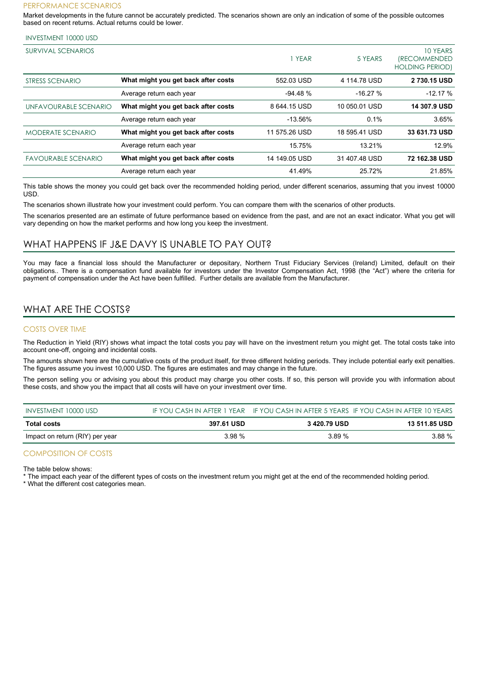#### PERFORMANCE SCENARIOS

Market developments in the future cannot be accurately predicted. The scenarios shown are only an indication of some of the possible outcomes based on recent returns. Actual returns could be lower.

#### INVESTMENT 10000 USD

| SURVIVAL SCENARIOS         |                                     | YEAR          | 5 YEARS       | 10 YEARS<br><i><b>IRECOMMENDED</b></i><br><b>HOLDING PERIOD)</b> |
|----------------------------|-------------------------------------|---------------|---------------|------------------------------------------------------------------|
| STRESS SCENARIO            | What might you get back after costs | 552.03 USD    | 4 114.78 USD  | 2730.15 USD                                                      |
|                            | Average return each year            | $-94.48%$     | $-16.27%$     | $-12.17%$                                                        |
| UNFAVOURABLE SCENARIO      | What might you get back after costs | 8 644.15 USD  | 10 050.01 USD | 14 307.9 USD                                                     |
|                            | Average return each year            | $-13.56%$     | 0.1%          | 3.65%                                                            |
| <b>MODERATE SCENARIO</b>   | What might you get back after costs | 11 575.26 USD | 18 595.41 USD | 33 631.73 USD                                                    |
|                            | Average return each year            | 15.75%        | 13.21%        | 12.9%                                                            |
| <b>FAVOURABLE SCENARIO</b> | What might you get back after costs | 14 149.05 USD | 31 407 48 USD | 72 162.38 USD                                                    |
|                            | Average return each year            | 41.49%        | 25.72%        | 21.85%                                                           |

This table shows the money you could get back over the recommended holding period, under different scenarios, assuming that you invest 10000 USD.

The scenarios shown illustrate how your investment could perform. You can compare them with the scenarios of other products.

The scenarios presented are an estimate of future performance based on evidence from the past, and are not an exact indicator. What you get will vary depending on how the market performs and how long you keep the investment.

#### WHAT HAPPENS IF J&E DAVY IS UNABLE TO PAY OUT?

You may face a financial loss should the Manufacturer or depositary, Northern Trust Fiduciary Services (Ireland) Limited, default on their obligations.. There is a compensation fund available for investors under the Investor Compensation Act, 1998 (the "Act") where the criteria for payment of compensation under the Act have been fulfilled. Further details are available from the Manufacturer.

## WHAT ARE THE COSTS?

#### COSTS OVER TIME

The Reduction in Yield (RIY) shows what impact the total costs you pay will have on the investment return you might get. The total costs take into account one-off, ongoing and incidental costs.

The amounts shown here are the cumulative costs of the product itself, for three different holding periods. They include potential early exit penalties. The figures assume you invest 10,000 USD. The figures are estimates and may change in the future.

The person selling you or advising you about this product may charge you other costs. If so, this person will provide you with information about these costs, and show you the impact that all costs will have on your investment over time.

| INVESTMENT 10000 USD            |            |              | IF YOU CASH IN AFTER 1 YEAR IF YOU CASH IN AFTER 5 YEARS IF YOU CASH IN AFTER 10 YEARS |
|---------------------------------|------------|--------------|----------------------------------------------------------------------------------------|
| Total costs                     | 397.61 USD | 3 420.79 USD | 13 511.85 USD                                                                          |
| Impact on return (RIY) per year | 3.98 %     | 3.89 %       | 3.88 %                                                                                 |

#### COMPOSITION OF COSTS

The table below shows:

The impact each year of the different types of costs on the investment return you might get at the end of the recommended holding period.

\* What the different cost categories mean.